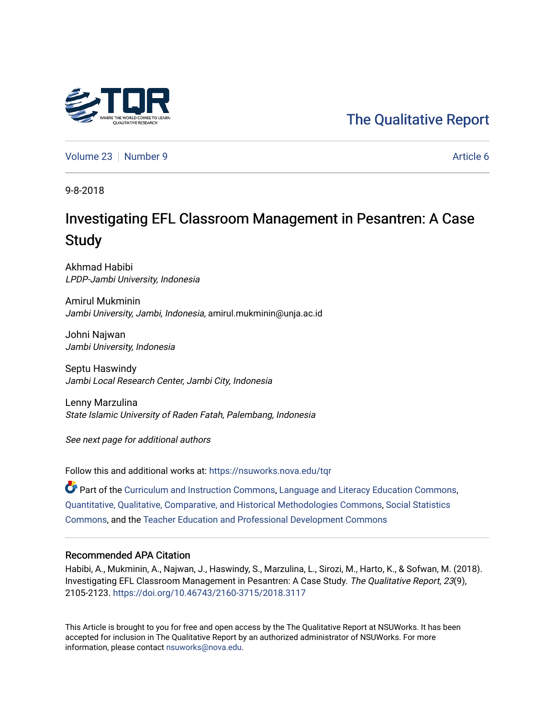## [The Qualitative Report](https://nsuworks.nova.edu/tqr)

[Volume 23](https://nsuworks.nova.edu/tqr/vol23) [Number 9](https://nsuworks.nova.edu/tqr/vol23/iss9) Article 6

9-8-2018

# Investigating EFL Classroom Management in Pesantren: A Case **Study**

Akhmad Habibi LPDP-Jambi University, Indonesia

Amirul Mukminin Jambi University, Jambi, Indonesia, amirul.mukminin@unja.ac.id

Johni Najwan Jambi University, Indonesia

Septu Haswindy Jambi Local Research Center, Jambi City, Indonesia

Lenny Marzulina State Islamic University of Raden Fatah, Palembang, Indonesia

See next page for additional authors

Follow this and additional works at: [https://nsuworks.nova.edu/tqr](https://nsuworks.nova.edu/tqr?utm_source=nsuworks.nova.edu%2Ftqr%2Fvol23%2Fiss9%2F6&utm_medium=PDF&utm_campaign=PDFCoverPages) 

Part of the [Curriculum and Instruction Commons,](http://network.bepress.com/hgg/discipline/786?utm_source=nsuworks.nova.edu%2Ftqr%2Fvol23%2Fiss9%2F6&utm_medium=PDF&utm_campaign=PDFCoverPages) [Language and Literacy Education Commons,](http://network.bepress.com/hgg/discipline/1380?utm_source=nsuworks.nova.edu%2Ftqr%2Fvol23%2Fiss9%2F6&utm_medium=PDF&utm_campaign=PDFCoverPages) [Quantitative, Qualitative, Comparative, and Historical Methodologies Commons,](http://network.bepress.com/hgg/discipline/423?utm_source=nsuworks.nova.edu%2Ftqr%2Fvol23%2Fiss9%2F6&utm_medium=PDF&utm_campaign=PDFCoverPages) [Social Statistics](http://network.bepress.com/hgg/discipline/1275?utm_source=nsuworks.nova.edu%2Ftqr%2Fvol23%2Fiss9%2F6&utm_medium=PDF&utm_campaign=PDFCoverPages) [Commons](http://network.bepress.com/hgg/discipline/1275?utm_source=nsuworks.nova.edu%2Ftqr%2Fvol23%2Fiss9%2F6&utm_medium=PDF&utm_campaign=PDFCoverPages), and the [Teacher Education and Professional Development Commons](http://network.bepress.com/hgg/discipline/803?utm_source=nsuworks.nova.edu%2Ftqr%2Fvol23%2Fiss9%2F6&utm_medium=PDF&utm_campaign=PDFCoverPages)

#### Recommended APA Citation

Habibi, A., Mukminin, A., Najwan, J., Haswindy, S., Marzulina, L., Sirozi, M., Harto, K., & Sofwan, M. (2018). Investigating EFL Classroom Management in Pesantren: A Case Study. The Qualitative Report, 23(9), 2105-2123. <https://doi.org/10.46743/2160-3715/2018.3117>

This Article is brought to you for free and open access by the The Qualitative Report at NSUWorks. It has been accepted for inclusion in The Qualitative Report by an authorized administrator of NSUWorks. For more information, please contact [nsuworks@nova.edu.](mailto:nsuworks@nova.edu)

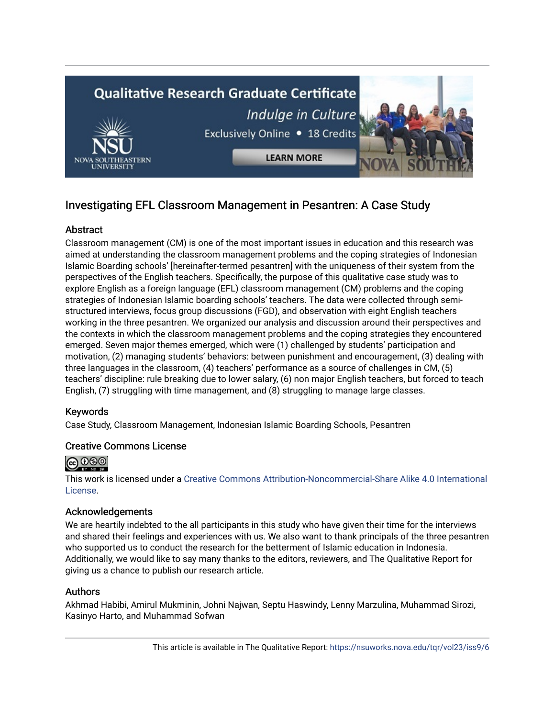

## Investigating EFL Classroom Management in Pesantren: A Case Study

## **Abstract**

Classroom management (CM) is one of the most important issues in education and this research was aimed at understanding the classroom management problems and the coping strategies of Indonesian Islamic Boarding schools' [hereinafter-termed pesantren] with the uniqueness of their system from the perspectives of the English teachers. Specifically, the purpose of this qualitative case study was to explore English as a foreign language (EFL) classroom management (CM) problems and the coping strategies of Indonesian Islamic boarding schools' teachers. The data were collected through semistructured interviews, focus group discussions (FGD), and observation with eight English teachers working in the three pesantren. We organized our analysis and discussion around their perspectives and the contexts in which the classroom management problems and the coping strategies they encountered emerged. Seven major themes emerged, which were (1) challenged by students' participation and motivation, (2) managing students' behaviors: between punishment and encouragement, (3) dealing with three languages in the classroom, (4) teachers' performance as a source of challenges in CM, (5) teachers' discipline: rule breaking due to lower salary, (6) non major English teachers, but forced to teach English, (7) struggling with time management, and (8) struggling to manage large classes.

## Keywords

Case Study, Classroom Management, Indonesian Islamic Boarding Schools, Pesantren

## Creative Commons License



This work is licensed under a [Creative Commons Attribution-Noncommercial-Share Alike 4.0 International](https://creativecommons.org/licenses/by-nc-sa/4.0/)  [License](https://creativecommons.org/licenses/by-nc-sa/4.0/).

## Acknowledgements

We are heartily indebted to the all participants in this study who have given their time for the interviews and shared their feelings and experiences with us. We also want to thank principals of the three pesantren who supported us to conduct the research for the betterment of Islamic education in Indonesia. Additionally, we would like to say many thanks to the editors, reviewers, and The Qualitative Report for giving us a chance to publish our research article.

## Authors

Akhmad Habibi, Amirul Mukminin, Johni Najwan, Septu Haswindy, Lenny Marzulina, Muhammad Sirozi, Kasinyo Harto, and Muhammad Sofwan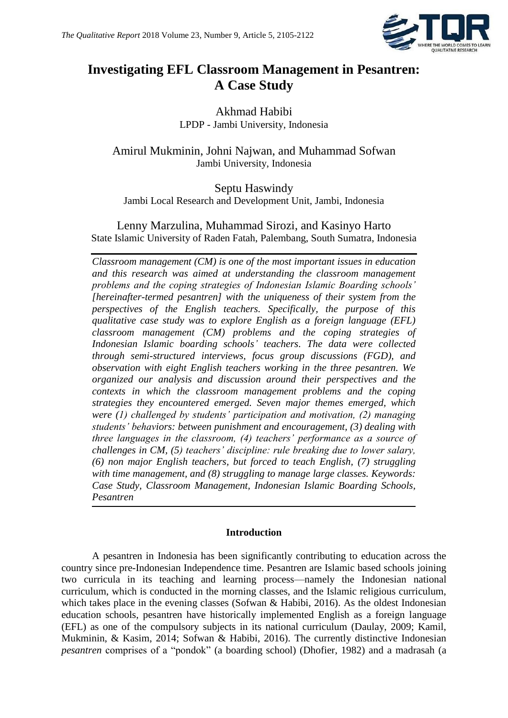

## **Investigating EFL Classroom Management in Pesantren: A Case Study**

Akhmad Habibi LPDP - Jambi University, Indonesia

Amirul Mukminin, Johni Najwan, and Muhammad Sofwan Jambi University, Indonesia

Septu Haswindy Jambi Local Research and Development Unit, Jambi, Indonesia

Lenny Marzulina, Muhammad Sirozi, and Kasinyo Harto State Islamic University of Raden Fatah, Palembang, South Sumatra, Indonesia

*Classroom management (CM) is one of the most important issues in education and this research was aimed at understanding the classroom management problems and the coping strategies of Indonesian Islamic Boarding schools' [hereinafter-termed pesantren] with the uniqueness of their system from the perspectives of the English teachers. Specifically, the purpose of this qualitative case study was to explore English as a foreign language (EFL) classroom management (CM) problems and the coping strategies of Indonesian Islamic boarding schools' teachers. The data were collected through semi-structured interviews, focus group discussions (FGD), and observation with eight English teachers working in the three pesantren. We organized our analysis and discussion around their perspectives and the contexts in which the classroom management problems and the coping strategies they encountered emerged. Seven major themes emerged, which were (1) challenged by students' participation and motivation, (2) managing students' behaviors: between punishment and encouragement, (3) dealing with three languages in the classroom, (4) teachers' performance as a source of challenges in CM, (5) teachers' discipline: rule breaking due to lower salary, (6) non major English teachers, but forced to teach English, (7) struggling with time management, and (8) struggling to manage large classes. Keywords: Case Study, Classroom Management, Indonesian Islamic Boarding Schools, Pesantren*

## **Introduction**

A pesantren in Indonesia has been significantly contributing to education across the country since pre-Indonesian Independence time. Pesantren are Islamic based schools joining two curricula in its teaching and learning process—namely the Indonesian national curriculum, which is conducted in the morning classes, and the Islamic religious curriculum, which takes place in the evening classes (Sofwan & Habibi, 2016). As the oldest Indonesian education schools, pesantren have historically implemented English as a foreign language (EFL) as one of the compulsory subjects in its national curriculum (Daulay, 2009; Kamil, Mukminin, & Kasim, 2014; Sofwan & Habibi, 2016). The currently distinctive Indonesian *pesantren* comprises of a "pondok" (a boarding school) (Dhofier, 1982) and a madrasah (a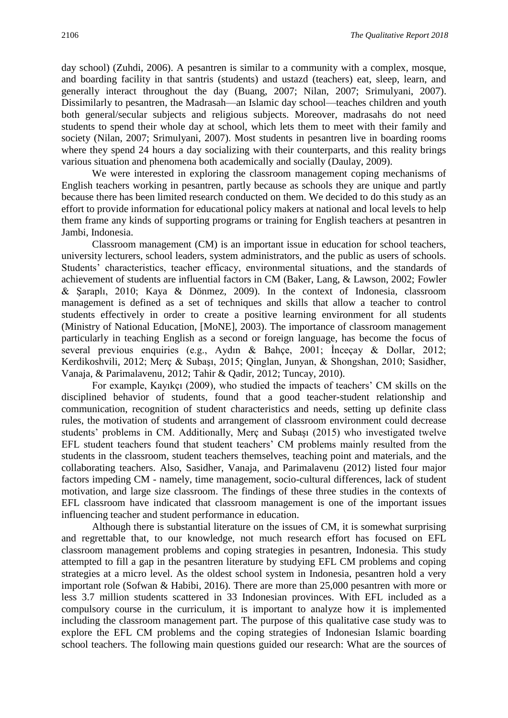day school) (Zuhdi, 2006). A pesantren is similar to a community with a complex, mosque, and boarding facility in that santris (students) and ustazd (teachers) eat, sleep, learn, and generally interact throughout the day (Buang, 2007; Nilan, 2007; Srimulyani, 2007). Dissimilarly to pesantren, the Madrasah—an Islamic day school—teaches children and youth both general/secular subjects and religious subjects. Moreover, madrasahs do not need students to spend their whole day at school, which lets them to meet with their family and society (Nilan, 2007; Srimulyani, 2007). Most students in pesantren live in boarding rooms where they spend 24 hours a day socializing with their counterparts, and this reality brings various situation and phenomena both academically and socially (Daulay, 2009).

We were interested in exploring the classroom management coping mechanisms of English teachers working in pesantren, partly because as schools they are unique and partly because there has been limited research conducted on them. We decided to do this study as an effort to provide information for educational policy makers at national and local levels to help them frame any kinds of supporting programs or training for English teachers at pesantren in Jambi, Indonesia.

Classroom management (CM) is an important issue in education for school teachers, university lecturers, school leaders, system administrators, and the public as users of schools. Students' characteristics, teacher efficacy, environmental situations, and the standards of achievement of students are influential factors in CM (Baker, Lang, & Lawson, 2002; Fowler & Şaraplı, 2010; Kaya & Dönmez, 2009). In the context of Indonesia, classroom management is defined as a set of techniques and skills that allow a teacher to control students effectively in order to create a positive learning environment for all students (Ministry of National Education, [MoNE], 2003). The importance of classroom management particularly in teaching English as a second or foreign language, has become the focus of several previous enquiries (e.g., Aydın & Bahçe, 2001; İnceçay & Dollar, 2012; Kerdikoshvili, 2012; Merç & Subaşı, 2015; Qinglan, Junyan, & Shongshan, 2010; Sasidher, Vanaja, & Parimalavenu, 2012; Tahir & Qadir, 2012; Tuncay, 2010).

For example, Kayıkçı (2009), who studied the impacts of teachers' CM skills on the disciplined behavior of students, found that a good teacher-student relationship and communication, recognition of student characteristics and needs, setting up definite class rules, the motivation of students and arrangement of classroom environment could decrease students' problems in CM. Additionally, Merç and Subaşı (2015) who investigated twelve EFL student teachers found that student teachers' CM problems mainly resulted from the students in the classroom, student teachers themselves, teaching point and materials, and the collaborating teachers. Also, Sasidher, Vanaja, and Parimalavenu (2012) listed four major factors impeding CM - namely, time management, socio-cultural differences, lack of student motivation, and large size classroom. The findings of these three studies in the contexts of EFL classroom have indicated that classroom management is one of the important issues influencing teacher and student performance in education.

Although there is substantial literature on the issues of CM, it is somewhat surprising and regrettable that, to our knowledge, not much research effort has focused on EFL classroom management problems and coping strategies in pesantren, Indonesia. This study attempted to fill a gap in the pesantren literature by studying EFL CM problems and coping strategies at a micro level. As the oldest school system in Indonesia, pesantren hold a very important role (Sofwan & Habibi, 2016). There are more than 25,000 pesantren with more or less 3.7 million students scattered in 33 Indonesian provinces. With EFL included as a compulsory course in the curriculum, it is important to analyze how it is implemented including the classroom management part. The purpose of this qualitative case study was to explore the EFL CM problems and the coping strategies of Indonesian Islamic boarding school teachers. The following main questions guided our research: What are the sources of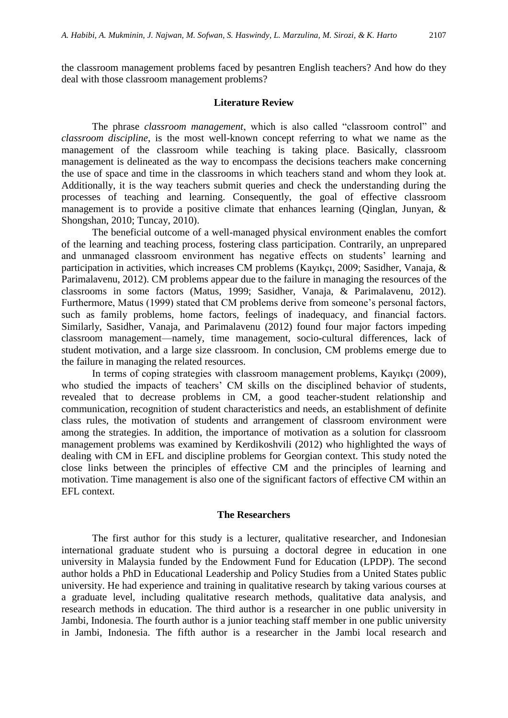the classroom management problems faced by pesantren English teachers? And how do they deal with those classroom management problems?

#### **Literature Review**

The phrase *classroom management*, which is also called "classroom control" and *classroom discipline*, is the most well-known concept referring to what we name as the management of the classroom while teaching is taking place. Basically, classroom management is delineated as the way to encompass the decisions teachers make concerning the use of space and time in the classrooms in which teachers stand and whom they look at. Additionally, it is the way teachers submit queries and check the understanding during the processes of teaching and learning. Consequently, the goal of effective classroom management is to provide a positive climate that enhances learning (Qinglan, Junyan, & Shongshan, 2010; Tuncay, 2010).

The beneficial outcome of a well-managed physical environment enables the comfort of the learning and teaching process, fostering class participation. Contrarily, an unprepared and unmanaged classroom environment has negative effects on students' learning and participation in activities, which increases CM problems (Kayıkçı, 2009; Sasidher, Vanaja, & Parimalavenu, 2012). CM problems appear due to the failure in managing the resources of the classrooms in some factors (Matus, 1999; Sasidher, Vanaja, & Parimalavenu, 2012). Furthermore, Matus (1999) stated that CM problems derive from someone's personal factors, such as family problems, home factors, feelings of inadequacy, and financial factors. Similarly, Sasidher, Vanaja, and Parimalavenu (2012) found four major factors impeding classroom management—namely, time management, socio-cultural differences, lack of student motivation, and a large size classroom. In conclusion, CM problems emerge due to the failure in managing the related resources.

In terms of coping strategies with classroom management problems, Kayıkçı (2009), who studied the impacts of teachers' CM skills on the disciplined behavior of students, revealed that to decrease problems in CM, a good teacher-student relationship and communication, recognition of student characteristics and needs, an establishment of definite class rules, the motivation of students and arrangement of classroom environment were among the strategies. In addition, the importance of motivation as a solution for classroom management problems was examined by Kerdikoshvili (2012) who highlighted the ways of dealing with CM in EFL and discipline problems for Georgian context. This study noted the close links between the principles of effective CM and the principles of learning and motivation. Time management is also one of the significant factors of effective CM within an EFL context.

#### **The Researchers**

The first author for this study is a lecturer, qualitative researcher, and Indonesian international graduate student who is pursuing a doctoral degree in education in one university in Malaysia funded by the Endowment Fund for Education (LPDP). The second author holds a PhD in Educational Leadership and Policy Studies from a United States public university. He had experience and training in qualitative research by taking various courses at a graduate level, including qualitative research methods, qualitative data analysis, and research methods in education. The third author is a researcher in one public university in Jambi, Indonesia. The fourth author is a junior teaching staff member in one public university in Jambi, Indonesia. The fifth author is a researcher in the Jambi local research and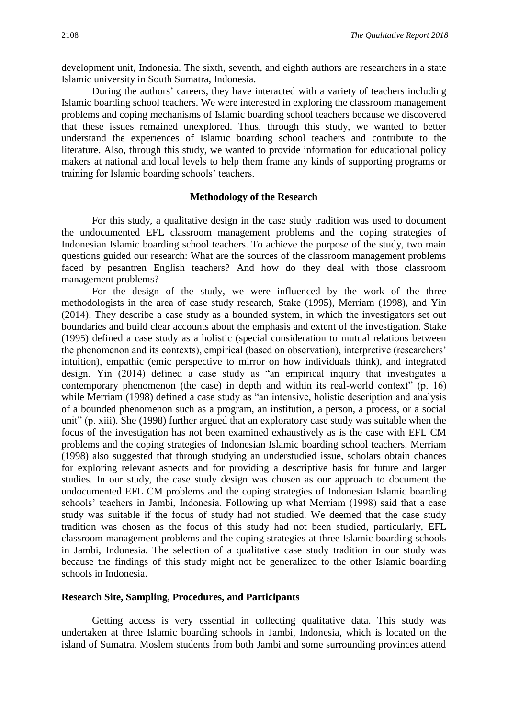development unit, Indonesia. The sixth, seventh, and eighth authors are researchers in a state Islamic university in South Sumatra, Indonesia.

During the authors' careers, they have interacted with a variety of teachers including Islamic boarding school teachers. We were interested in exploring the classroom management problems and coping mechanisms of Islamic boarding school teachers because we discovered that these issues remained unexplored. Thus, through this study, we wanted to better understand the experiences of Islamic boarding school teachers and contribute to the literature. Also, through this study, we wanted to provide information for educational policy makers at national and local levels to help them frame any kinds of supporting programs or training for Islamic boarding schools' teachers.

#### **Methodology of the Research**

For this study, a qualitative design in the case study tradition was used to document the undocumented EFL classroom management problems and the coping strategies of Indonesian Islamic boarding school teachers. To achieve the purpose of the study, two main questions guided our research: What are the sources of the classroom management problems faced by pesantren English teachers? And how do they deal with those classroom management problems?

For the design of the study, we were influenced by the work of the three methodologists in the area of case study research, Stake (1995), Merriam (1998), and Yin (2014). They describe a case study as a bounded system, in which the investigators set out boundaries and build clear accounts about the emphasis and extent of the investigation. Stake (1995) defined a case study as a holistic (special consideration to mutual relations between the phenomenon and its contexts), empirical (based on observation), interpretive (researchers' intuition), empathic (emic perspective to mirror on how individuals think), and integrated design. Yin (2014) defined a case study as "an empirical inquiry that investigates a contemporary phenomenon (the case) in depth and within its real-world context" (p. 16) while Merriam (1998) defined a case study as "an intensive, holistic description and analysis of a bounded phenomenon such as a program, an institution, a person, a process, or a social unit" (p. xiii). She (1998) further argued that an exploratory case study was suitable when the focus of the investigation has not been examined exhaustively as is the case with EFL CM problems and the coping strategies of Indonesian Islamic boarding school teachers. Merriam (1998) also suggested that through studying an understudied issue, scholars obtain chances for exploring relevant aspects and for providing a descriptive basis for future and larger studies. In our study, the case study design was chosen as our approach to document the undocumented EFL CM problems and the coping strategies of Indonesian Islamic boarding schools' teachers in Jambi, Indonesia. Following up what Merriam (1998) said that a case study was suitable if the focus of study had not studied. We deemed that the case study tradition was chosen as the focus of this study had not been studied, particularly, EFL classroom management problems and the coping strategies at three Islamic boarding schools in Jambi, Indonesia. The selection of a qualitative case study tradition in our study was because the findings of this study might not be generalized to the other Islamic boarding schools in Indonesia.

#### **Research Site, Sampling, Procedures, and Participants**

Getting access is very essential in collecting qualitative data. This study was undertaken at three Islamic boarding schools in Jambi, Indonesia, which is located on the island of Sumatra. Moslem students from both Jambi and some surrounding provinces attend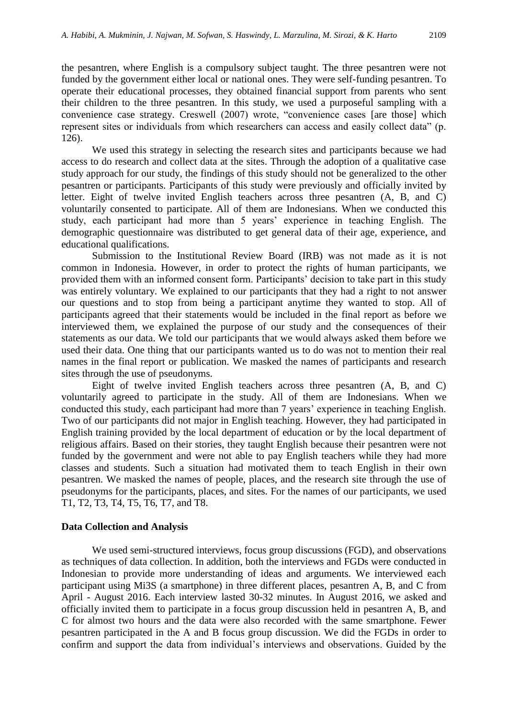the pesantren, where English is a compulsory subject taught. The three pesantren were not funded by the government either local or national ones. They were self-funding pesantren. To operate their educational processes, they obtained financial support from parents who sent their children to the three pesantren. In this study, we used a purposeful sampling with a convenience case strategy. Creswell (2007) wrote, "convenience cases [are those] which represent sites or individuals from which researchers can access and easily collect data" (p. 126).

We used this strategy in selecting the research sites and participants because we had access to do research and collect data at the sites. Through the adoption of a qualitative case study approach for our study, the findings of this study should not be generalized to the other pesantren or participants. Participants of this study were previously and officially invited by letter. Eight of twelve invited English teachers across three pesantren (A, B, and C) voluntarily consented to participate. All of them are Indonesians. When we conducted this study, each participant had more than 5 years' experience in teaching English. The demographic questionnaire was distributed to get general data of their age, experience, and educational qualifications.

Submission to the Institutional Review Board (IRB) was not made as it is not common in Indonesia. However, in order to protect the rights of human participants, we provided them with an informed consent form. Participants' decision to take part in this study was entirely voluntary. We explained to our participants that they had a right to not answer our questions and to stop from being a participant anytime they wanted to stop. All of participants agreed that their statements would be included in the final report as before we interviewed them, we explained the purpose of our study and the consequences of their statements as our data. We told our participants that we would always asked them before we used their data. One thing that our participants wanted us to do was not to mention their real names in the final report or publication. We masked the names of participants and research sites through the use of pseudonyms.

Eight of twelve invited English teachers across three pesantren (A, B, and C) voluntarily agreed to participate in the study. All of them are Indonesians. When we conducted this study, each participant had more than 7 years' experience in teaching English. Two of our participants did not major in English teaching. However, they had participated in English training provided by the local department of education or by the local department of religious affairs. Based on their stories, they taught English because their pesantren were not funded by the government and were not able to pay English teachers while they had more classes and students. Such a situation had motivated them to teach English in their own pesantren. We masked the names of people, places, and the research site through the use of pseudonyms for the participants, places, and sites. For the names of our participants, we used T1, T2, T3, T4, T5, T6, T7, and T8.

#### **Data Collection and Analysis**

We used semi-structured interviews, focus group discussions (FGD), and observations as techniques of data collection. In addition, both the interviews and FGDs were conducted in Indonesian to provide more understanding of ideas and arguments. We interviewed each participant using Mi3S (a smartphone) in three different places, pesantren A, B, and C from April - August 2016. Each interview lasted 30-32 minutes. In August 2016, we asked and officially invited them to participate in a focus group discussion held in pesantren A, B, and C for almost two hours and the data were also recorded with the same smartphone. Fewer pesantren participated in the A and B focus group discussion. We did the FGDs in order to confirm and support the data from individual's interviews and observations. Guided by the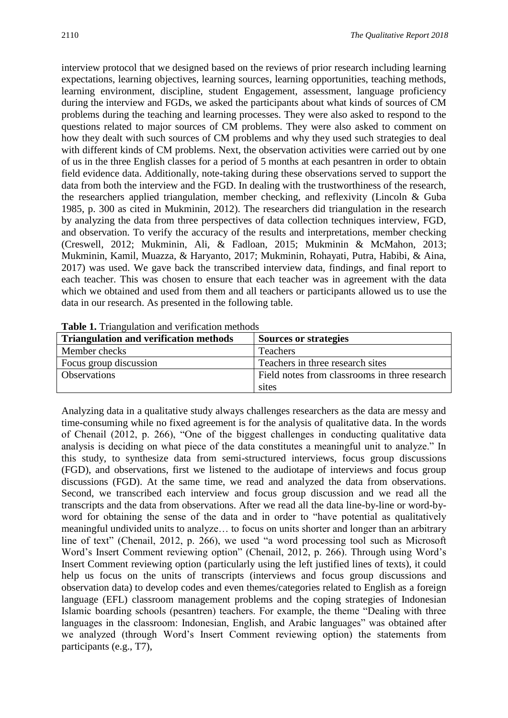interview protocol that we designed based on the reviews of prior research including learning expectations, learning objectives, learning sources, learning opportunities, teaching methods, learning environment, discipline, student Engagement, assessment, language proficiency during the interview and FGDs, we asked the participants about what kinds of sources of CM problems during the teaching and learning processes. They were also asked to respond to the questions related to major sources of CM problems. They were also asked to comment on how they dealt with such sources of CM problems and why they used such strategies to deal with different kinds of CM problems. Next, the observation activities were carried out by one of us in the three English classes for a period of 5 months at each pesantren in order to obtain field evidence data. Additionally, note-taking during these observations served to support the data from both the interview and the FGD. In dealing with the trustworthiness of the research, the researchers applied triangulation, member checking, and reflexivity (Lincoln & Guba 1985, p. 300 as cited in Mukminin, 2012). The researchers did triangulation in the research by analyzing the data from three perspectives of data collection techniques interview, FGD, and observation. To verify the accuracy of the results and interpretations, member checking (Creswell, 2012; Mukminin, Ali, & Fadloan, 2015; Mukminin & McMahon, 2013; Mukminin, Kamil, Muazza, & Haryanto, 2017; Mukminin, Rohayati, Putra, Habibi, & Aina, 2017) was used. We gave back the transcribed interview data, findings, and final report to each teacher. This was chosen to ensure that each teacher was in agreement with the data which we obtained and used from them and all teachers or participants allowed us to use the data in our research. As presented in the following table.

| <b>Table 1:</b> Thangulation and vertication includes |                                               |
|-------------------------------------------------------|-----------------------------------------------|
| <b>Triangulation and verification methods</b>         | <b>Sources or strategies</b>                  |
| Member checks                                         | Teachers                                      |
| Focus group discussion                                | Teachers in three research sites              |
| <b>Observations</b>                                   | Field notes from classrooms in three research |
|                                                       | sites                                         |

**Table 1.** Triangulation and verification methods

Analyzing data in a qualitative study always challenges researchers as the data are messy and time-consuming while no fixed agreement is for the analysis of qualitative data. In the words of Chenail (2012, p. 266), "One of the biggest challenges in conducting qualitative data analysis is deciding on what piece of the data constitutes a meaningful unit to analyze." In this study, to synthesize data from semi-structured interviews, focus group discussions (FGD), and observations, first we listened to the audiotape of interviews and focus group discussions (FGD). At the same time, we read and analyzed the data from observations. Second, we transcribed each interview and focus group discussion and we read all the transcripts and the data from observations. After we read all the data line-by-line or word-byword for obtaining the sense of the data and in order to "have potential as qualitatively meaningful undivided units to analyze… to focus on units shorter and longer than an arbitrary line of text" (Chenail, 2012, p. 266), we used "a word processing tool such as Microsoft Word's Insert Comment reviewing option" (Chenail, 2012, p. 266). Through using Word's Insert Comment reviewing option (particularly using the left justified lines of texts), it could help us focus on the units of transcripts (interviews and focus group discussions and observation data) to develop codes and even themes/categories related to English as a foreign language (EFL) classroom management problems and the coping strategies of Indonesian Islamic boarding schools (pesantren) teachers. For example, the theme "Dealing with three languages in the classroom: Indonesian, English, and Arabic languages" was obtained after we analyzed (through Word's Insert Comment reviewing option) the statements from participants (e.g., T7),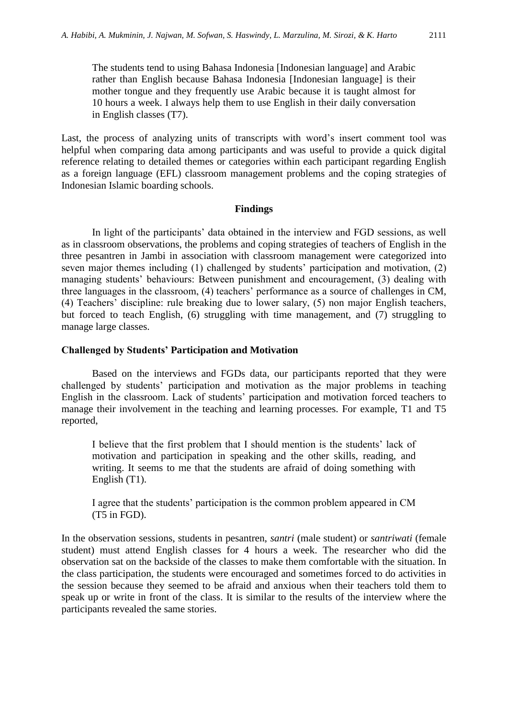The students tend to using Bahasa Indonesia [Indonesian language] and Arabic rather than English because Bahasa Indonesia [Indonesian language] is their mother tongue and they frequently use Arabic because it is taught almost for 10 hours a week. I always help them to use English in their daily conversation in English classes (T7).

Last, the process of analyzing units of transcripts with word's insert comment tool was helpful when comparing data among participants and was useful to provide a quick digital reference relating to detailed themes or categories within each participant regarding English as a foreign language (EFL) classroom management problems and the coping strategies of Indonesian Islamic boarding schools.

#### **Findings**

In light of the participants' data obtained in the interview and FGD sessions, as well as in classroom observations, the problems and coping strategies of teachers of English in the three pesantren in Jambi in association with classroom management were categorized into seven major themes including (1) challenged by students' participation and motivation, (2) managing students' behaviours: Between punishment and encouragement, (3) dealing with three languages in the classroom, (4) teachers' performance as a source of challenges in CM, (4) Teachers' discipline: rule breaking due to lower salary, (5) non major English teachers, but forced to teach English, (6) struggling with time management, and (7) struggling to manage large classes.

### **Challenged by Students' Participation and Motivation**

Based on the interviews and FGDs data, our participants reported that they were challenged by students' participation and motivation as the major problems in teaching English in the classroom. Lack of students' participation and motivation forced teachers to manage their involvement in the teaching and learning processes. For example, T1 and T5 reported,

I believe that the first problem that I should mention is the students' lack of motivation and participation in speaking and the other skills, reading, and writing. It seems to me that the students are afraid of doing something with English (T1).

I agree that the students' participation is the common problem appeared in CM (T5 in FGD).

In the observation sessions, students in pesantren, *santri* (male student) or *santriwati* (female student) must attend English classes for 4 hours a week. The researcher who did the observation sat on the backside of the classes to make them comfortable with the situation. In the class participation, the students were encouraged and sometimes forced to do activities in the session because they seemed to be afraid and anxious when their teachers told them to speak up or write in front of the class. It is similar to the results of the interview where the participants revealed the same stories.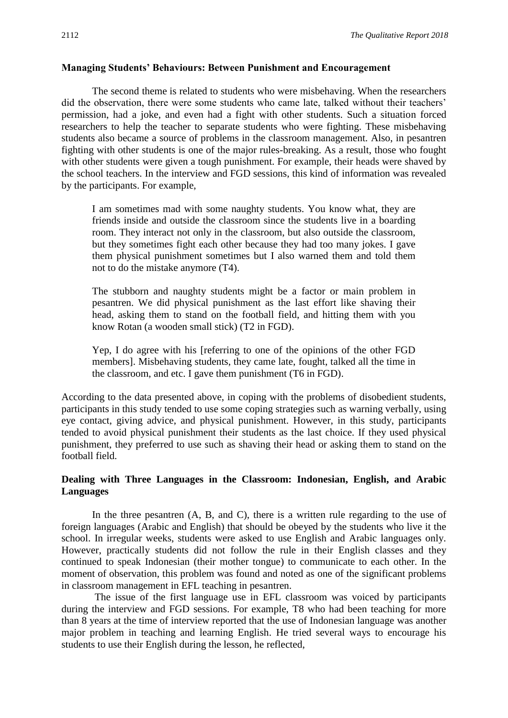#### **Managing Students' Behaviours: Between Punishment and Encouragement**

The second theme is related to students who were misbehaving. When the researchers did the observation, there were some students who came late, talked without their teachers' permission, had a joke, and even had a fight with other students. Such a situation forced researchers to help the teacher to separate students who were fighting. These misbehaving students also became a source of problems in the classroom management. Also, in pesantren fighting with other students is one of the major rules-breaking. As a result, those who fought with other students were given a tough punishment. For example, their heads were shaved by the school teachers. In the interview and FGD sessions, this kind of information was revealed by the participants. For example,

I am sometimes mad with some naughty students. You know what, they are friends inside and outside the classroom since the students live in a boarding room. They interact not only in the classroom, but also outside the classroom, but they sometimes fight each other because they had too many jokes. I gave them physical punishment sometimes but I also warned them and told them not to do the mistake anymore (T4).

The stubborn and naughty students might be a factor or main problem in pesantren. We did physical punishment as the last effort like shaving their head, asking them to stand on the football field, and hitting them with you know Rotan (a wooden small stick) (T2 in FGD).

Yep, I do agree with his [referring to one of the opinions of the other FGD members]. Misbehaving students, they came late, fought, talked all the time in the classroom, and etc. I gave them punishment (T6 in FGD).

According to the data presented above, in coping with the problems of disobedient students, participants in this study tended to use some coping strategies such as warning verbally, using eye contact, giving advice, and physical punishment. However, in this study, participants tended to avoid physical punishment their students as the last choice. If they used physical punishment, they preferred to use such as shaving their head or asking them to stand on the football field.

## **Dealing with Three Languages in the Classroom: Indonesian, English, and Arabic Languages**

In the three pesantren (A, B, and C), there is a written rule regarding to the use of foreign languages (Arabic and English) that should be obeyed by the students who live it the school. In irregular weeks, students were asked to use English and Arabic languages only. However, practically students did not follow the rule in their English classes and they continued to speak Indonesian (their mother tongue) to communicate to each other. In the moment of observation, this problem was found and noted as one of the significant problems in classroom management in EFL teaching in pesantren.

The issue of the first language use in EFL classroom was voiced by participants during the interview and FGD sessions. For example, T8 who had been teaching for more than 8 years at the time of interview reported that the use of Indonesian language was another major problem in teaching and learning English. He tried several ways to encourage his students to use their English during the lesson, he reflected,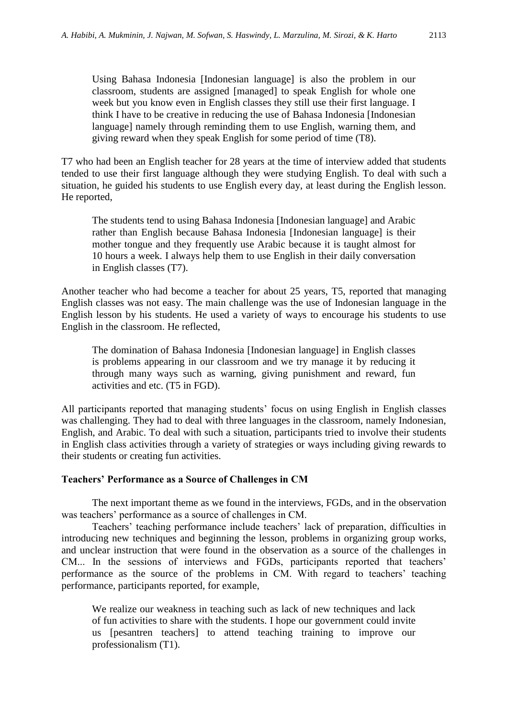Using Bahasa Indonesia [Indonesian language] is also the problem in our classroom, students are assigned [managed] to speak English for whole one week but you know even in English classes they still use their first language. I think I have to be creative in reducing the use of Bahasa Indonesia [Indonesian language] namely through reminding them to use English, warning them, and giving reward when they speak English for some period of time (T8).

T7 who had been an English teacher for 28 years at the time of interview added that students tended to use their first language although they were studying English. To deal with such a situation, he guided his students to use English every day, at least during the English lesson. He reported,

The students tend to using Bahasa Indonesia [Indonesian language] and Arabic rather than English because Bahasa Indonesia [Indonesian language] is their mother tongue and they frequently use Arabic because it is taught almost for 10 hours a week. I always help them to use English in their daily conversation in English classes (T7).

Another teacher who had become a teacher for about 25 years, T5, reported that managing English classes was not easy. The main challenge was the use of Indonesian language in the English lesson by his students. He used a variety of ways to encourage his students to use English in the classroom. He reflected,

The domination of Bahasa Indonesia [Indonesian language] in English classes is problems appearing in our classroom and we try manage it by reducing it through many ways such as warning, giving punishment and reward, fun activities and etc. (T5 in FGD).

All participants reported that managing students' focus on using English in English classes was challenging. They had to deal with three languages in the classroom, namely Indonesian, English, and Arabic. To deal with such a situation, participants tried to involve their students in English class activities through a variety of strategies or ways including giving rewards to their students or creating fun activities.

## **Teachers' Performance as a Source of Challenges in CM**

The next important theme as we found in the interviews, FGDs, and in the observation was teachers' performance as a source of challenges in CM.

Teachers' teaching performance include teachers' lack of preparation, difficulties in introducing new techniques and beginning the lesson, problems in organizing group works, and unclear instruction that were found in the observation as a source of the challenges in CM... In the sessions of interviews and FGDs, participants reported that teachers' performance as the source of the problems in CM. With regard to teachers' teaching performance, participants reported, for example,

We realize our weakness in teaching such as lack of new techniques and lack of fun activities to share with the students. I hope our government could invite us [pesantren teachers] to attend teaching training to improve our professionalism (T1).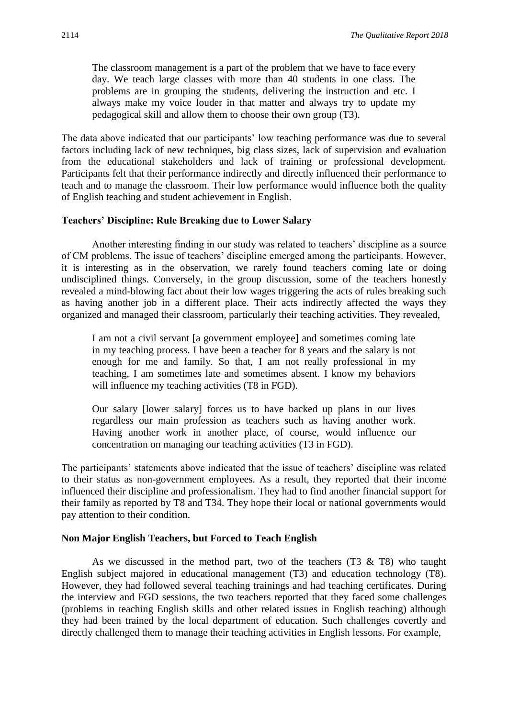The classroom management is a part of the problem that we have to face every day. We teach large classes with more than 40 students in one class. The problems are in grouping the students, delivering the instruction and etc. I always make my voice louder in that matter and always try to update my pedagogical skill and allow them to choose their own group (T3).

The data above indicated that our participants' low teaching performance was due to several factors including lack of new techniques, big class sizes, lack of supervision and evaluation from the educational stakeholders and lack of training or professional development. Participants felt that their performance indirectly and directly influenced their performance to teach and to manage the classroom. Their low performance would influence both the quality of English teaching and student achievement in English.

#### **Teachers' Discipline: Rule Breaking due to Lower Salary**

Another interesting finding in our study was related to teachers' discipline as a source of CM problems. The issue of teachers' discipline emerged among the participants. However, it is interesting as in the observation, we rarely found teachers coming late or doing undisciplined things. Conversely, in the group discussion, some of the teachers honestly revealed a mind-blowing fact about their low wages triggering the acts of rules breaking such as having another job in a different place. Their acts indirectly affected the ways they organized and managed their classroom, particularly their teaching activities. They revealed,

I am not a civil servant [a government employee] and sometimes coming late in my teaching process. I have been a teacher for 8 years and the salary is not enough for me and family. So that, I am not really professional in my teaching, I am sometimes late and sometimes absent. I know my behaviors will influence my teaching activities (T8 in FGD).

Our salary [lower salary] forces us to have backed up plans in our lives regardless our main profession as teachers such as having another work. Having another work in another place, of course, would influence our concentration on managing our teaching activities (T3 in FGD).

The participants' statements above indicated that the issue of teachers' discipline was related to their status as non-government employees. As a result, they reported that their income influenced their discipline and professionalism. They had to find another financial support for their family as reported by T8 and T34. They hope their local or national governments would pay attention to their condition.

#### **Non Major English Teachers, but Forced to Teach English**

As we discussed in the method part, two of the teachers  $(T3 \& T8)$  who taught English subject majored in educational management (T3) and education technology (T8). However, they had followed several teaching trainings and had teaching certificates. During the interview and FGD sessions, the two teachers reported that they faced some challenges (problems in teaching English skills and other related issues in English teaching) although they had been trained by the local department of education. Such challenges covertly and directly challenged them to manage their teaching activities in English lessons. For example,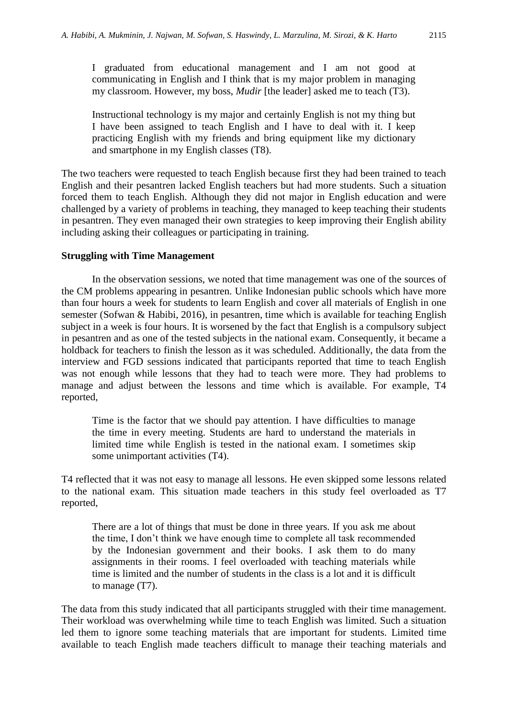I graduated from educational management and I am not good at communicating in English and I think that is my major problem in managing my classroom. However, my boss, *Mudir* [the leader] asked me to teach (T3).

Instructional technology is my major and certainly English is not my thing but I have been assigned to teach English and I have to deal with it. I keep practicing English with my friends and bring equipment like my dictionary and smartphone in my English classes (T8).

The two teachers were requested to teach English because first they had been trained to teach English and their pesantren lacked English teachers but had more students. Such a situation forced them to teach English. Although they did not major in English education and were challenged by a variety of problems in teaching, they managed to keep teaching their students in pesantren. They even managed their own strategies to keep improving their English ability including asking their colleagues or participating in training.

#### **Struggling with Time Management**

In the observation sessions, we noted that time management was one of the sources of the CM problems appearing in pesantren. Unlike Indonesian public schools which have more than four hours a week for students to learn English and cover all materials of English in one semester (Sofwan & Habibi, 2016), in pesantren, time which is available for teaching English subject in a week is four hours. It is worsened by the fact that English is a compulsory subject in pesantren and as one of the tested subjects in the national exam. Consequently, it became a holdback for teachers to finish the lesson as it was scheduled. Additionally, the data from the interview and FGD sessions indicated that participants reported that time to teach English was not enough while lessons that they had to teach were more. They had problems to manage and adjust between the lessons and time which is available. For example, T4 reported,

Time is the factor that we should pay attention. I have difficulties to manage the time in every meeting. Students are hard to understand the materials in limited time while English is tested in the national exam. I sometimes skip some unimportant activities (T4).

T4 reflected that it was not easy to manage all lessons. He even skipped some lessons related to the national exam. This situation made teachers in this study feel overloaded as T7 reported,

There are a lot of things that must be done in three years. If you ask me about the time, I don't think we have enough time to complete all task recommended by the Indonesian government and their books. I ask them to do many assignments in their rooms. I feel overloaded with teaching materials while time is limited and the number of students in the class is a lot and it is difficult to manage (T7).

The data from this study indicated that all participants struggled with their time management. Their workload was overwhelming while time to teach English was limited. Such a situation led them to ignore some teaching materials that are important for students. Limited time available to teach English made teachers difficult to manage their teaching materials and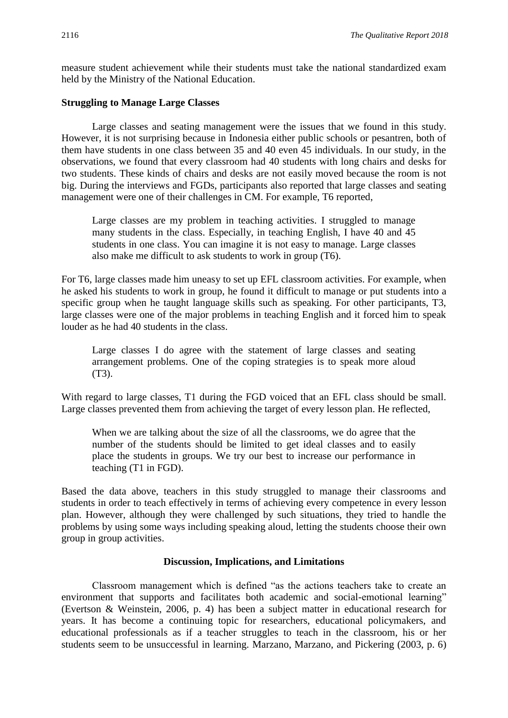measure student achievement while their students must take the national standardized exam held by the Ministry of the National Education.

#### **Struggling to Manage Large Classes**

Large classes and seating management were the issues that we found in this study. However, it is not surprising because in Indonesia either public schools or pesantren, both of them have students in one class between 35 and 40 even 45 individuals. In our study, in the observations, we found that every classroom had 40 students with long chairs and desks for two students. These kinds of chairs and desks are not easily moved because the room is not big. During the interviews and FGDs, participants also reported that large classes and seating management were one of their challenges in CM. For example, T6 reported,

Large classes are my problem in teaching activities. I struggled to manage many students in the class. Especially, in teaching English, I have 40 and 45 students in one class. You can imagine it is not easy to manage. Large classes also make me difficult to ask students to work in group (T6).

For T6, large classes made him uneasy to set up EFL classroom activities. For example, when he asked his students to work in group, he found it difficult to manage or put students into a specific group when he taught language skills such as speaking. For other participants, T3, large classes were one of the major problems in teaching English and it forced him to speak louder as he had 40 students in the class.

Large classes I do agree with the statement of large classes and seating arrangement problems. One of the coping strategies is to speak more aloud (T3).

With regard to large classes, T1 during the FGD voiced that an EFL class should be small. Large classes prevented them from achieving the target of every lesson plan. He reflected,

When we are talking about the size of all the classrooms, we do agree that the number of the students should be limited to get ideal classes and to easily place the students in groups. We try our best to increase our performance in teaching (T1 in FGD).

Based the data above, teachers in this study struggled to manage their classrooms and students in order to teach effectively in terms of achieving every competence in every lesson plan. However, although they were challenged by such situations, they tried to handle the problems by using some ways including speaking aloud, letting the students choose their own group in group activities.

#### **Discussion, Implications, and Limitations**

Classroom management which is defined "as the actions teachers take to create an environment that supports and facilitates both academic and social-emotional learning" (Evertson & Weinstein, 2006, p. 4) has been a subject matter in educational research for years. It has become a continuing topic for researchers, educational policymakers, and educational professionals as if a teacher struggles to teach in the classroom, his or her students seem to be unsuccessful in learning. Marzano, Marzano, and Pickering (2003, p. 6)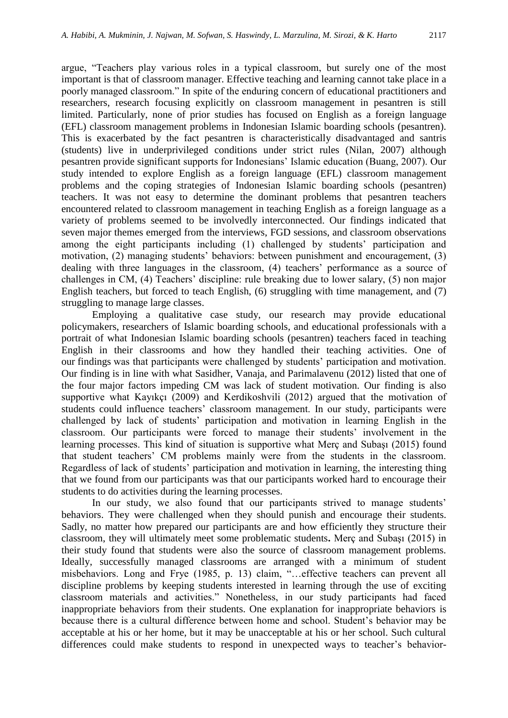argue, "Teachers play various roles in a typical classroom, but surely one of the most important is that of classroom manager. Effective teaching and learning cannot take place in a poorly managed classroom." In spite of the enduring concern of educational practitioners and researchers, research focusing explicitly on classroom management in pesantren is still limited. Particularly, none of prior studies has focused on English as a foreign language (EFL) classroom management problems in Indonesian Islamic boarding schools (pesantren). This is exacerbated by the fact pesantren is characteristically disadvantaged and santris (students) live in underprivileged conditions under strict rules (Nilan, 2007) although pesantren provide significant supports for Indonesians' Islamic education (Buang, 2007). Our study intended to explore English as a foreign language (EFL) classroom management problems and the coping strategies of Indonesian Islamic boarding schools (pesantren) teachers. It was not easy to determine the dominant problems that pesantren teachers encountered related to classroom management in teaching English as a foreign language as a variety of problems seemed to be involvedly interconnected. Our findings indicated that seven major themes emerged from the interviews, FGD sessions, and classroom observations among the eight participants including (1) challenged by students' participation and motivation, (2) managing students' behaviors: between punishment and encouragement, (3) dealing with three languages in the classroom, (4) teachers' performance as a source of challenges in CM, (4) Teachers' discipline: rule breaking due to lower salary, (5) non major English teachers, but forced to teach English, (6) struggling with time management, and (7) struggling to manage large classes.

Employing a qualitative case study, our research may provide educational policymakers, researchers of Islamic boarding schools, and educational professionals with a portrait of what Indonesian Islamic boarding schools (pesantren) teachers faced in teaching English in their classrooms and how they handled their teaching activities. One of our findings was that participants were challenged by students' participation and motivation. Our finding is in line with what Sasidher, Vanaja, and Parimalavenu (2012) listed that one of the four major factors impeding CM was lack of student motivation. Our finding is also supportive what Kayıkçı (2009) and Kerdikoshvili (2012) argued that the motivation of students could influence teachers' classroom management. In our study, participants were challenged by lack of students' participation and motivation in learning English in the classroom. Our participants were forced to manage their students' involvement in the learning processes. This kind of situation is supportive what Merç and Subaşı (2015) found that student teachers' CM problems mainly were from the students in the classroom. Regardless of lack of students' participation and motivation in learning, the interesting thing that we found from our participants was that our participants worked hard to encourage their students to do activities during the learning processes.

In our study, we also found that our participants strived to manage students' behaviors. They were challenged when they should punish and encourage their students. Sadly, no matter how prepared our participants are and how efficiently they structure their classroom, they will ultimately meet some problematic students**.** Merç and Subaşı (2015) in their study found that students were also the source of classroom management problems. Ideally, successfully managed classrooms are arranged with a minimum of student misbehaviors. Long and Frye (1985, p. 13) claim, "…effective teachers can prevent all discipline problems by keeping students interested in learning through the use of exciting classroom materials and activities." Nonetheless, in our study participants had faced inappropriate behaviors from their students. One explanation for inappropriate behaviors is because there is a cultural difference between home and school. Student's behavior may be acceptable at his or her home, but it may be unacceptable at his or her school. Such cultural differences could make students to respond in unexpected ways to teacher's behavior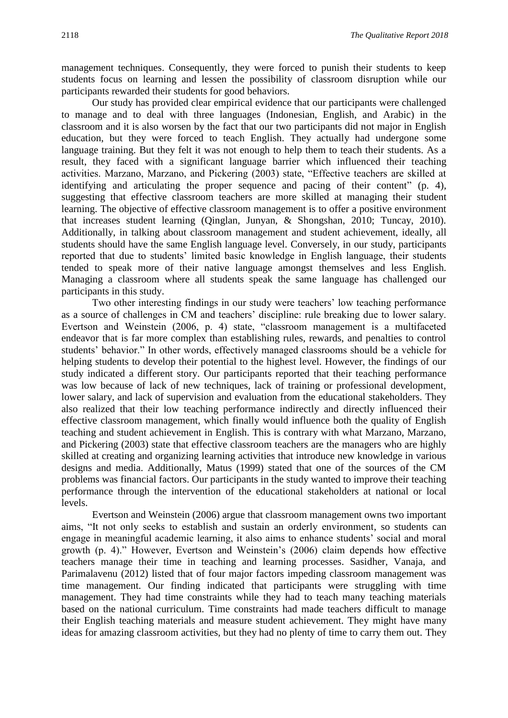management techniques. Consequently, they were forced to punish their students to keep students focus on learning and lessen the possibility of classroom disruption while our participants rewarded their students for good behaviors.

Our study has provided clear empirical evidence that our participants were challenged to manage and to deal with three languages (Indonesian, English, and Arabic) in the classroom and it is also worsen by the fact that our two participants did not major in English education, but they were forced to teach English. They actually had undergone some language training. But they felt it was not enough to help them to teach their students. As a result, they faced with a significant language barrier which influenced their teaching activities. Marzano, Marzano, and Pickering (2003) state, "Effective teachers are skilled at identifying and articulating the proper sequence and pacing of their content" (p. 4), suggesting that effective classroom teachers are more skilled at managing their student learning. The objective of effective classroom management is to offer a positive environment that increases student learning (Qinglan, Junyan, & Shongshan, 2010; Tuncay, 2010). Additionally, in talking about classroom management and student achievement, ideally, all students should have the same English language level. Conversely, in our study, participants reported that due to students' limited basic knowledge in English language, their students tended to speak more of their native language amongst themselves and less English. Managing a classroom where all students speak the same language has challenged our participants in this study.

Two other interesting findings in our study were teachers' low teaching performance as a source of challenges in CM and teachers' discipline: rule breaking due to lower salary. Evertson and Weinstein (2006, p. 4) state, "classroom management is a multifaceted endeavor that is far more complex than establishing rules, rewards, and penalties to control students' behavior." In other words, effectively managed classrooms should be a vehicle for helping students to develop their potential to the highest level. However, the findings of our study indicated a different story. Our participants reported that their teaching performance was low because of lack of new techniques, lack of training or professional development, lower salary, and lack of supervision and evaluation from the educational stakeholders. They also realized that their low teaching performance indirectly and directly influenced their effective classroom management, which finally would influence both the quality of English teaching and student achievement in English. This is contrary with what Marzano, Marzano, and Pickering (2003) state that effective classroom teachers are the managers who are highly skilled at creating and organizing learning activities that introduce new knowledge in various designs and media. Additionally, Matus (1999) stated that one of the sources of the CM problems was financial factors. Our participants in the study wanted to improve their teaching performance through the intervention of the educational stakeholders at national or local levels.

Evertson and Weinstein (2006) argue that classroom management owns two important aims, "It not only seeks to establish and sustain an orderly environment, so students can engage in meaningful academic learning, it also aims to enhance students' social and moral growth (p. 4)." However, Evertson and Weinstein's (2006) claim depends how effective teachers manage their time in teaching and learning processes. Sasidher, Vanaja, and Parimalavenu (2012) listed that of four major factors impeding classroom management was time management. Our finding indicated that participants were struggling with time management. They had time constraints while they had to teach many teaching materials based on the national curriculum. Time constraints had made teachers difficult to manage their English teaching materials and measure student achievement. They might have many ideas for amazing classroom activities, but they had no plenty of time to carry them out. They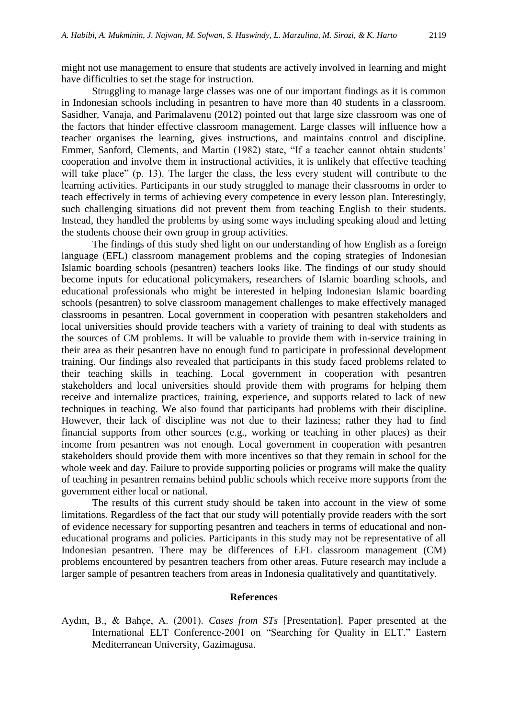might not use management to ensure that students are actively involved in learning and might have difficulties to set the stage for instruction.

Struggling to manage large classes was one of our important findings as it is common in Indonesian schools including in pesantren to have more than 40 students in a classroom. Sasidher, Vanaja, and Parimalavenu (2012) pointed out that large size classroom was one of the factors that hinder effective classroom management. Large classes will influence how a teacher organises the learning, gives instructions, and maintains control and discipline. Emmer, Sanford, Clements, and Martin (1982) state, "If a teacher cannot obtain students' cooperation and involve them in instructional activities, it is unlikely that effective teaching will take place" (p. 13). The larger the class, the less every student will contribute to the learning activities. Participants in our study struggled to manage their classrooms in order to teach effectively in terms of achieving every competence in every lesson plan. Interestingly, such challenging situations did not prevent them from teaching English to their students. Instead, they handled the problems by using some ways including speaking aloud and letting the students choose their own group in group activities.

The findings of this study shed light on our understanding of how English as a foreign language (EFL) classroom management problems and the coping strategies of Indonesian Islamic boarding schools (pesantren) teachers looks like. The findings of our study should become inputs for educational policymakers, researchers of Islamic boarding schools, and educational professionals who might be interested in helping Indonesian Islamic boarding schools (pesantren) to solve classroom management challenges to make effectively managed classrooms in pesantren. Local government in cooperation with pesantren stakeholders and local universities should provide teachers with a variety of training to deal with students as the sources of CM problems. It will be valuable to provide them with in-service training in their area as their pesantren have no enough fund to participate in professional development training. Our findings also revealed that participants in this study faced problems related to their teaching skills in teaching. Local government in cooperation with pesantren stakeholders and local universities should provide them with programs for helping them receive and internalize practices, training, experience, and supports related to lack of new techniques in teaching. We also found that participants had problems with their discipline. However, their lack of discipline was not due to their laziness; rather they had to find financial supports from other sources (e.g., working or teaching in other places) as their income from pesantren was not enough. Local government in cooperation with pesantren stakeholders should provide them with more incentives so that they remain in school for the whole week and day. Failure to provide supporting policies or programs will make the quality of teaching in pesantren remains behind public schools which receive more supports from the government either local or national.

The results of this current study should be taken into account in the view of some limitations. Regardless of the fact that our study will potentially provide readers with the sort of evidence necessary for supporting pesantren and teachers in terms of educational and noneducational programs and policies. Participants in this study may not be representative of all Indonesian pesantren. There may be differences of EFL classroom management (CM) problems encountered by pesantren teachers from other areas. Future research may include a larger sample of pesantren teachers from areas in Indonesia qualitatively and quantitatively.

#### **References**

Aydın, B., & Bahçe, A. (2001). *Cases from STs* [Presentation]. Paper presented at the International ELT Conference-2001 on "Searching for Quality in ELT." Eastern Mediterranean University, Gazimagusa.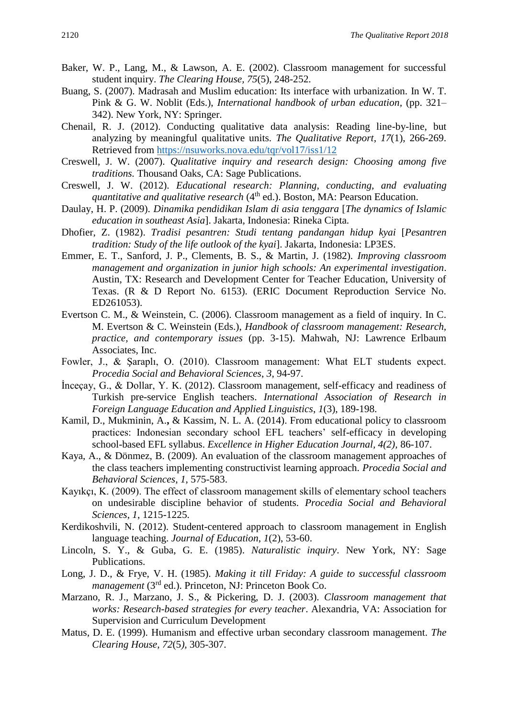- Baker, W. P., Lang, M., & Lawson, A. E. (2002). Classroom management for successful student inquiry. *The Clearing House, 75*(5), 248-252.
- Buang, S. (2007). Madrasah and Muslim education: Its interface with urbanization. In W. T. Pink & G. W. Noblit (Eds.), *International handbook of urban education,* (pp. 321– 342). New York, NY: Springer.
- Chenail, R. J. (2012). Conducting qualitative data analysis: Reading line-by-line, but analyzing by meaningful qualitative units. *The Qualitative Report*, *17*(1), 266-269. Retrieved from<https://nsuworks.nova.edu/tqr/vol17/iss1/12>
- Creswell, J. W. (2007). *Qualitative inquiry and research design: Choosing among five traditions.* Thousand Oaks, CA: Sage Publications.
- Creswell, J. W. (2012). *Educational research: Planning, conducting, and evaluating quantitative and qualitative research* (4<sup>th</sup> ed.). Boston, MA: Pearson Education.
- Daulay, H. P. (2009). *Dinamika pendidikan Islam di asia tenggara* [*The dynamics of Islamic education in southeast Asia*]. Jakarta, Indonesia: Rineka Cipta.
- Dhofier, Z. (1982). *Tradisi pesantren: Studi tentang pandangan hidup kyai* [*Pesantren tradition: Study of the life outlook of the kyai*]. Jakarta, Indonesia: LP3ES.
- Emmer, E. T., Sanford, J. P., Clements, B. S., & Martin, J. (1982). *Improving classroom management and organization in junior high schools: An experimental investigation*. Austin, TX: Research and Development Center for Teacher Education, University of Texas. (R & D Report No. 6153). (ERIC Document Reproduction Service No. ED261053).
- Evertson C. M., & Weinstein, C. (2006). Classroom management as a field of inquiry. In C. M. Evertson & C. Weinstein (Eds.), *Handbook of classroom management: Research, practice, and contemporary issues* (pp. 3-15). Mahwah, NJ: Lawrence Erlbaum Associates, Inc.
- Fowler, J., & Şaraplı, O. (2010). Classroom management: What ELT students expect. *Procedia Social and Behavioral Sciences*, *3*, 94-97.
- İnceçay, G., & Dollar, Y. K. (2012). Classroom management, self-efficacy and readiness of Turkish pre-service English teachers. *International Association of Research in Foreign Language Education and Applied Linguistics*, *1*(3), 189-198.
- Kamil, D., Mukminin, A.**,** & Kassim, N. L. A. (2014). From educational policy to classroom practices: Indonesian secondary school EFL teachers' self-efficacy in developing school-based EFL syllabus. *Excellence in Higher Education Journal, 4(2),* 86-107.
- Kaya, A., & Dönmez, B. (2009). An evaluation of the classroom management approaches of the class teachers implementing constructivist learning approach. *Procedia Social and Behavioral Sciences*, *1*, 575-583.
- Kayıkçı, K. (2009). The effect of classroom management skills of elementary school teachers on undesirable discipline behavior of students. *Procedia Social and Behavioral Sciences*, *1*, 1215-1225.
- Kerdikoshvili, N. (2012). Student-centered approach to classroom management in English language teaching. *Journal of Education*, *1*(2), 53-60.
- Lincoln, S. Y., & Guba, G. E. (1985). *Naturalistic inquiry*. New York, NY: Sage Publications.
- Long, J. D., & Frye, V. H. (1985). *Making it till Friday: A guide to successful classroom management* (3<sup>rd</sup> ed.). Princeton, NJ: Princeton Book Co.
- Marzano, R. J., Marzano, J. S., & Pickering, D. J. (2003). *Classroom management that works: Research-based strategies for every teacher*. Alexandria, VA: Association for Supervision and Curriculum Development
- Matus*,* D. E. (1999). Humanism and effective urban secondary classroom management. *The Clearing House*, *72*(5*),* 305-307.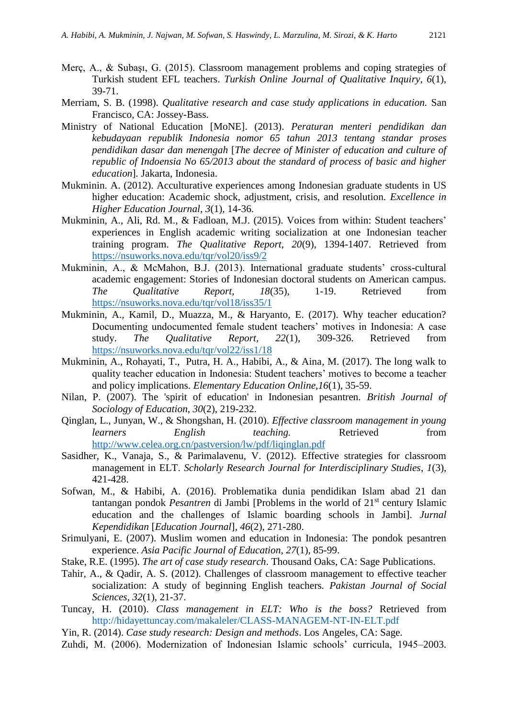- Merç, A., & Subaşı, G. (2015). Classroom management problems and coping strategies of Turkish student EFL teachers. *Turkish Online Journal of Qualitative Inquiry, 6*(1), 39-71.
- Merriam, S. B. (1998). *Qualitative research and case study applications in education.* San Francisco, CA: Jossey-Bass.
- Ministry of National Education [MoNE]. (2013). *Peraturan menteri pendidikan dan kebudayaan republik Indonesia nomor 65 tahun 2013 tentang standar proses pendidikan dasar dan menengah* [*The decree of Minister of education and culture of republic of Indoensia No 65/2013 about the standard of process of basic and higher education*]*.* Jakarta, Indonesia.
- Mukminin. A. (2012). Acculturative experiences among Indonesian graduate students in US higher education: Academic shock, adjustment, crisis, and resolution. *Excellence in Higher Education Journal, 3*(1), 14-36.
- Mukminin, A., Ali, Rd. M., & Fadloan, M.J. (2015). Voices from within: Student teachers' experiences in English academic writing socialization at one Indonesian teacher training program. *The Qualitative Report, 20*(9), 1394-1407. Retrieved from <https://nsuworks.nova.edu/tqr/vol20/iss9/2>
- Mukminin, A., & McMahon, B.J. (2013). International graduate students' cross-cultural academic engagement: Stories of Indonesian doctoral students on American campus. *The Qualitative Report, 18*(35), 1-19. Retrieved from <https://nsuworks.nova.edu/tqr/vol18/iss35/1>
- Mukminin, A., Kamil, D., Muazza, M., & Haryanto, E. (2017). Why teacher education? Documenting undocumented female student teachers' motives in Indonesia: A case study. *The Qualitative Report, 22*(1), 309-326. Retrieved from <https://nsuworks.nova.edu/tqr/vol22/iss1/18>
- Mukminin, A., Rohayati, T., Putra, H. A., Habibi, A., & Aina, M. (2017). The long walk to quality teacher education in Indonesia: Student teachers' motives to become a teacher and policy implications. *Elementary Education Online,16*(1), 35-59.
- Nilan, P. (2007). The 'spirit of education' in Indonesian pesantren. *British Journal of Sociology of Education*, *30*(2), 219-232.
- Qinglan, L., Junyan, W., & Shongshan, H. (2010). *Effective classroom management in young learners* English teaching. Retrieved from <http://www.celea.org.cn/pastversion/lw/pdf/liqinglan.pdf>
- Sasidher, K., Vanaja, S., & Parimalavenu, V. (2012). Effective strategies for classroom management in ELT. *Scholarly Research Journal for Interdisciplinary Studies*, *1*(3), 421-428.
- Sofwan, M., & Habibi, A. (2016). Problematika dunia pendidikan Islam abad 21 dan tantangan pondok *Pesantren* di Jambi [Problems in the world of 21st century Islamic education and the challenges of Islamic boarding schools in Jambi]. *Jurnal Kependidikan* [*Education Journal*]*, 46*(2), 271-280.
- Srimulyani, E. (2007). Muslim women and education in Indonesia: The pondok pesantren experience. *Asia Pacific Journal of Education, 27*(1), 85-99.
- Stake, R.E. (1995). *The art of case study research*. Thousand Oaks, CA: Sage Publications.
- Tahir, A., & Qadir, A. S. (2012). Challenges of classroom management to effective teacher socialization: A study of beginning English teachers. *Pakistan Journal of Social Sciences, 32*(1), 21-37.
- Tuncay, H. (2010). *Class management in ELT: Who is the boss?* Retrieved from <http://hidayettuncay.com/makaleler/CLASS-MANAGEM-NT-IN-ELT.pdf>
- Yin, R. (2014). *Case study research: Design and methods*. Los Angeles, CA: Sage.
- Zuhdi, M. (2006). Modernization of Indonesian Islamic schools' curricula, 1945–2003.